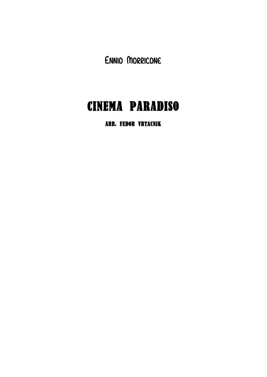ENNIO MORRICONE

## **CINEMA PARADISO**

## ARR. FEDOR VRTACNIK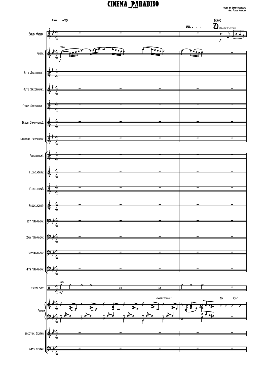## CINEMA PARADISO

<sup>.</sup> Ennio (norricone<br>. Fedor Vrtacnik

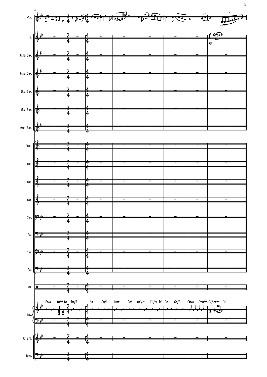

3